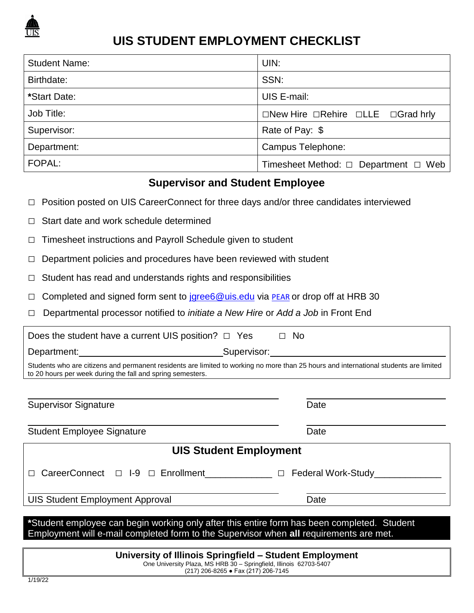

## **UIS STUDENT EMPLOYMENT CHECKLIST**

| <b>Student Name:</b> | UIN:                                                      |
|----------------------|-----------------------------------------------------------|
| Birthdate:           | SSN:                                                      |
| *Start Date:         | UIS E-mail:                                               |
| Job Title:           | $\Box$ New Hire $\Box$ Rehire $\Box$ LLE $\Box$ Grad hrly |
| Supervisor:          | Rate of Pay: \$                                           |
| Department:          | Campus Telephone:                                         |
| FOPAL:               | Timesheet Method: $\Box$ Department $\Box$ Web            |

## **Supervisor and Student Employee**

- □ Position posted on UIS CareerConnect for three days and/or three candidates interviewed
- $\Box$  Start date and work schedule determined
- □ Timesheet instructions and Payroll Schedule given to student
- $\Box$  Department policies and procedures have been reviewed with student
- $\Box$  Student has read and understands rights and responsibilities
- $\Box$  Completed and signed form sent to jgree 6@uis.edu via [PEAR](https://www.aits.uillinois.edu/services/application_services/PEAR/) or drop off at HRB 30
- □ Departmental processor notified to *initiate a New Hire* or *Add a Job* in Front End

| Does the student have a current UIS position? $\Box$ Yes                               | $\Box$ No                                                                                                                                                                                                                                |  |  |  |
|----------------------------------------------------------------------------------------|------------------------------------------------------------------------------------------------------------------------------------------------------------------------------------------------------------------------------------------|--|--|--|
|                                                                                        |                                                                                                                                                                                                                                          |  |  |  |
| to 20 hours per week during the fall and spring semesters.                             | Students who are citizens and permanent residents are limited to working no more than 25 hours and international students are limited                                                                                                    |  |  |  |
|                                                                                        |                                                                                                                                                                                                                                          |  |  |  |
| <b>Supervisor Signature</b>                                                            | Date                                                                                                                                                                                                                                     |  |  |  |
|                                                                                        |                                                                                                                                                                                                                                          |  |  |  |
| <b>Student Employee Signature</b>                                                      | Date                                                                                                                                                                                                                                     |  |  |  |
| <b>UIS Student Employment</b>                                                          |                                                                                                                                                                                                                                          |  |  |  |
|                                                                                        | CareerConnect □ I-9 □ Enrollment<br>□ Federal Work-Study<br>□ Texter Study<br>□ Texter Study<br>□ Texter Study<br>□ Texter Study<br>□ Texter Study<br>□ Texter Study<br>□ Texter Study<br>□ Texter Study<br>□ Texter Study<br>□ Texter S |  |  |  |
|                                                                                        |                                                                                                                                                                                                                                          |  |  |  |
| <b>UIS Student Employment Approval</b>                                                 | Date                                                                                                                                                                                                                                     |  |  |  |
|                                                                                        |                                                                                                                                                                                                                                          |  |  |  |
| Employment will e-mail completed form to the Supervisor when all requirements are met. | *Student employee can begin working only after this entire form has been completed. Student                                                                                                                                              |  |  |  |
|                                                                                        |                                                                                                                                                                                                                                          |  |  |  |

**University of Illinois Springfield – Student Employment** One University Plaza, MS HRB 30 – Springfield, Illinois 62703-5407 (217) 206-8265 ● Fax (217) 206-7145